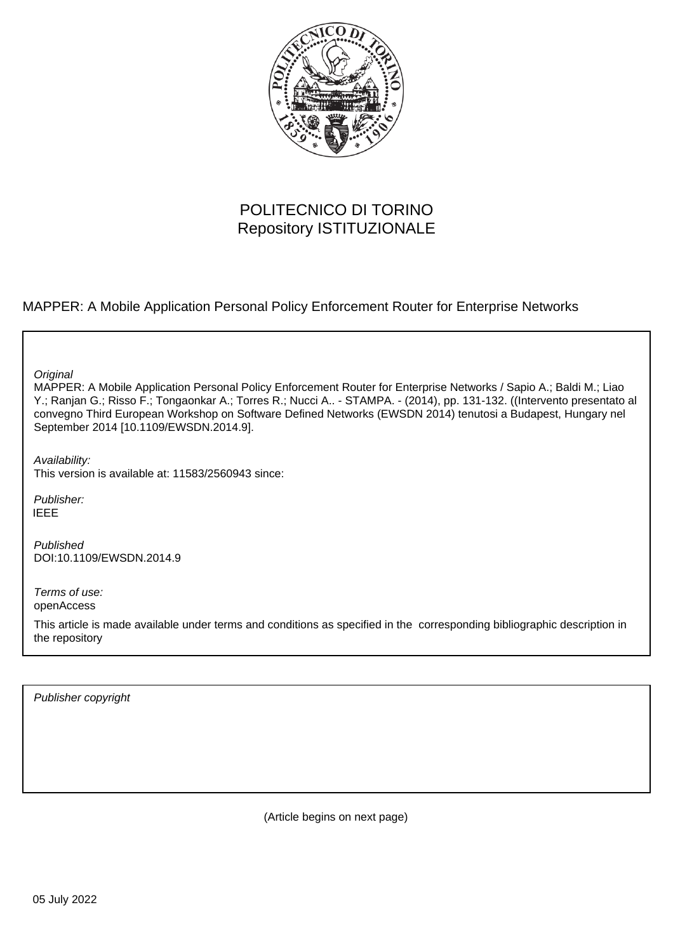

# POLITECNICO DI TORINO Repository ISTITUZIONALE

MAPPER: A Mobile Application Personal Policy Enforcement Router for Enterprise Networks

**Original** 

MAPPER: A Mobile Application Personal Policy Enforcement Router for Enterprise Networks / Sapio A.; Baldi M.; Liao Y.; Ranjan G.; Risso F.; Tongaonkar A.; Torres R.; Nucci A.. - STAMPA. - (2014), pp. 131-132. ((Intervento presentato al convegno Third European Workshop on Software Defined Networks (EWSDN 2014) tenutosi a Budapest, Hungary nel September 2014 [10.1109/EWSDN.2014.9].

Availability:

This version is available at: 11583/2560943 since:

Publisher: IEEE

Published DOI:10.1109/EWSDN.2014.9

Terms of use: openAccess

This article is made available under terms and conditions as specified in the corresponding bibliographic description in the repository

Publisher copyright

(Article begins on next page)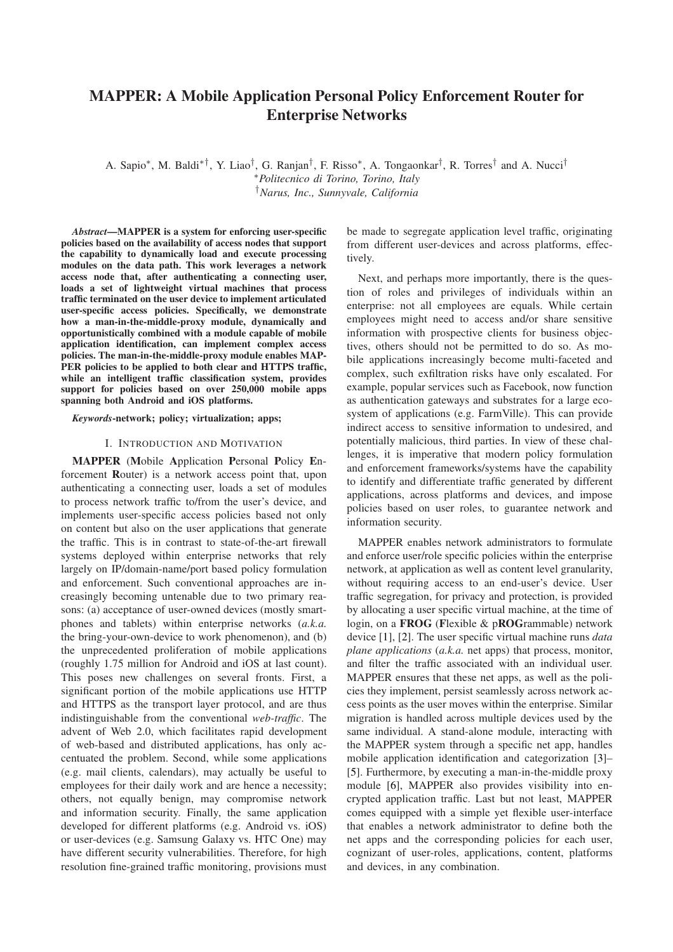## MAPPER: A Mobile Application Personal Policy Enforcement Router for Enterprise Networks

A. Sapio<sup>∗</sup>, M. Baldi<sup>∗†</sup>, Y. Liao<sup>†</sup>, G. Ranjan<sup>†</sup>, F. Risso<sup>∗</sup>, A. Tongaonkar<sup>†</sup>, R. Torres<sup>†</sup> and A. Nucci<sup>†</sup> <sup>∗</sup>*Politecnico di Torino, Torino, Italy* †*Narus, Inc., Sunnyvale, California*

*Abstract*—MAPPER is a system for enforcing user-specific policies based on the availability of access nodes that support the capability to dynamically load and execute processing modules on the data path. This work leverages a network access node that, after authenticating a connecting user, loads a set of lightweight virtual machines that process traffic terminated on the user device to implement articulated user-specific access policies. Specifically, we demonstrate how a man-in-the-middle-proxy module, dynamically and opportunistically combined with a module capable of mobile application identification, can implement complex access policies. The man-in-the-middle-proxy module enables MAP-PER policies to be applied to both clear and HTTPS traffic, while an intelligent traffic classification system, provides support for policies based on over 250,000 mobile apps spanning both Android and iOS platforms.

*Keywords*-network; policy; virtualization; apps;

#### I. INTRODUCTION AND MOTIVATION

MAPPER (Mobile Application Personal Policy Enforcement Router) is a network access point that, upon authenticating a connecting user, loads a set of modules to process network traffic to/from the user's device, and implements user-specific access policies based not only on content but also on the user applications that generate the traffic. This is in contrast to state-of-the-art firewall systems deployed within enterprise networks that rely largely on IP/domain-name/port based policy formulation and enforcement. Such conventional approaches are increasingly becoming untenable due to two primary reasons: (a) acceptance of user-owned devices (mostly smartphones and tablets) within enterprise networks (*a.k.a.* the bring-your-own-device to work phenomenon), and (b) the unprecedented proliferation of mobile applications (roughly 1.75 million for Android and iOS at last count). This poses new challenges on several fronts. First, a significant portion of the mobile applications use HTTP and HTTPS as the transport layer protocol, and are thus indistinguishable from the conventional *web-traffic*. The advent of Web 2.0, which facilitates rapid development of web-based and distributed applications, has only accentuated the problem. Second, while some applications (e.g. mail clients, calendars), may actually be useful to employees for their daily work and are hence a necessity; others, not equally benign, may compromise network and information security. Finally, the same application developed for different platforms (e.g. Android vs. iOS) or user-devices (e.g. Samsung Galaxy vs. HTC One) may have different security vulnerabilities. Therefore, for high resolution fine-grained traffic monitoring, provisions must be made to segregate application level traffic, originating from different user-devices and across platforms, effectively.

Next, and perhaps more importantly, there is the question of roles and privileges of individuals within an enterprise: not all employees are equals. While certain employees might need to access and/or share sensitive information with prospective clients for business objectives, others should not be permitted to do so. As mobile applications increasingly become multi-faceted and complex, such exfiltration risks have only escalated. For example, popular services such as Facebook, now function as authentication gateways and substrates for a large ecosystem of applications (e.g. FarmVille). This can provide indirect access to sensitive information to undesired, and potentially malicious, third parties. In view of these challenges, it is imperative that modern policy formulation and enforcement frameworks/systems have the capability to identify and differentiate traffic generated by different applications, across platforms and devices, and impose policies based on user roles, to guarantee network and information security.

MAPPER enables network administrators to formulate and enforce user/role specific policies within the enterprise network, at application as well as content level granularity, without requiring access to an end-user's device. User traffic segregation, for privacy and protection, is provided by allocating a user specific virtual machine, at the time of login, on a FROG (Flexible & pROGrammable) network device [1], [2]. The user specific virtual machine runs *data plane applications* (*a.k.a.* net apps) that process, monitor, and filter the traffic associated with an individual user. MAPPER ensures that these net apps, as well as the policies they implement, persist seamlessly across network access points as the user moves within the enterprise. Similar migration is handled across multiple devices used by the same individual. A stand-alone module, interacting with the MAPPER system through a specific net app, handles mobile application identification and categorization [3]– [5]. Furthermore, by executing a man-in-the-middle proxy module [6], MAPPER also provides visibility into encrypted application traffic. Last but not least, MAPPER comes equipped with a simple yet flexible user-interface that enables a network administrator to define both the net apps and the corresponding policies for each user, cognizant of user-roles, applications, content, platforms and devices, in any combination.